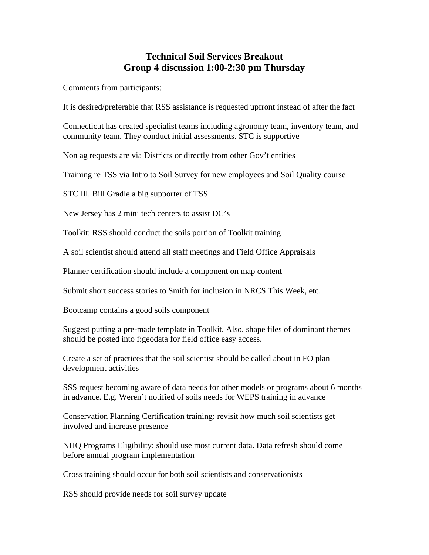## **Technical Soil Services Breakout Group 4 discussion 1:00-2:30 pm Thursday**

Comments from participants:

It is desired/preferable that RSS assistance is requested upfront instead of after the fact

Connecticut has created specialist teams including agronomy team, inventory team, and community team. They conduct initial assessments. STC is supportive

Non ag requests are via Districts or directly from other Gov't entities

Training re TSS via Intro to Soil Survey for new employees and Soil Quality course

STC Ill. Bill Gradle a big supporter of TSS

New Jersey has 2 mini tech centers to assist DC's

Toolkit: RSS should conduct the soils portion of Toolkit training

A soil scientist should attend all staff meetings and Field Office Appraisals

Planner certification should include a component on map content

Submit short success stories to Smith for inclusion in NRCS This Week, etc.

Bootcamp contains a good soils component

Suggest putting a pre-made template in Toolkit. Also, shape files of dominant themes should be posted into f:geodata for field office easy access.

Create a set of practices that the soil scientist should be called about in FO plan development activities

SSS request becoming aware of data needs for other models or programs about 6 months in advance. E.g. Weren't notified of soils needs for WEPS training in advance

Conservation Planning Certification training: revisit how much soil scientists get involved and increase presence

NHQ Programs Eligibility: should use most current data. Data refresh should come before annual program implementation

Cross training should occur for both soil scientists and conservationists

RSS should provide needs for soil survey update